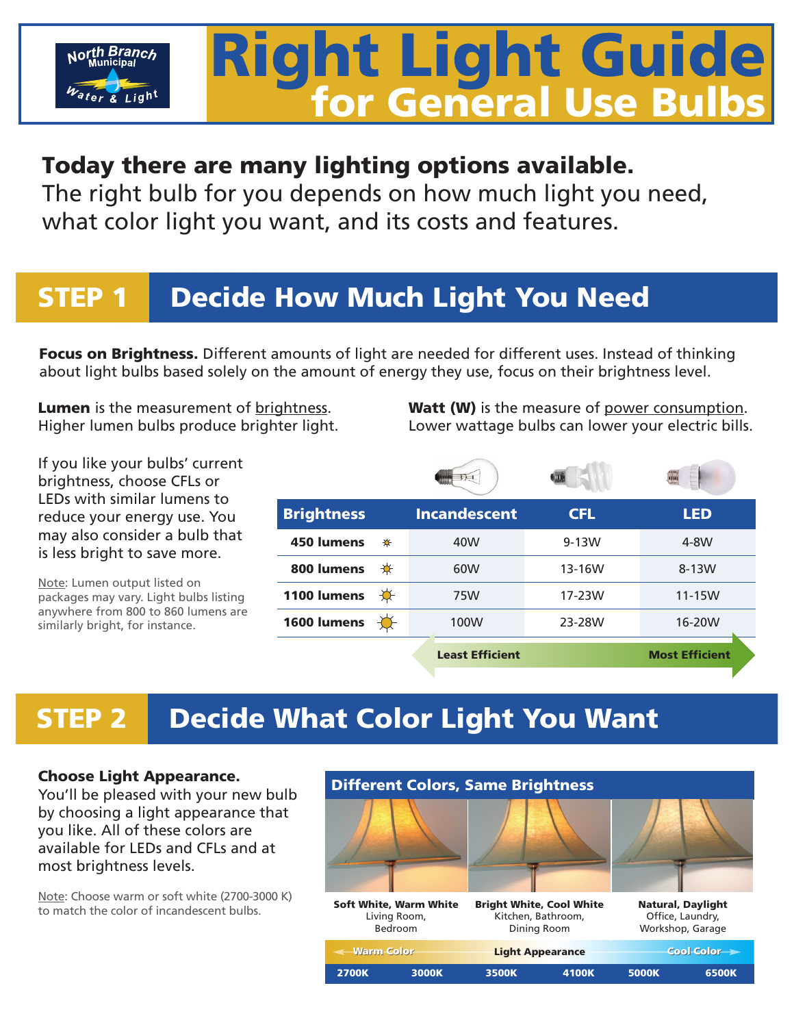# Right Light Guide for General Use Bulbs Right Light Guide Tor General Use Bulbs

#### Today there are many lighting options available.

The right bulb for you depends on how much light you need, what color light you want, and its costs and features. what color light you want, and its costs and features.  $T$ you depends on how much light you need,

### STEP 1 Decide How Much Light You Need

Focus on Brightness. Different amounts of light are needed for different uses. Instead of thinking about light bulbs based solely on the amount of energy they use, focus on their brightness level.

**Lumen** is the measurement of brightness. Higher lumen bulbs produce brighter light. Watt (W) is the measure of power consumption. Lower wattage bulbs can lower your electric bills.

If you like your bulbs' current brightness, choose CFLs or LEDs with similar lumens to reduce your energy use. You may also consider a bulb that is less bright to save more.

North Branch

Note: Lumen output listed on packages may vary. Light bulbs listing anywhere from 800 to 860 lumens are similarly bright, for instance.

| <b>Brightness</b> |   | <b>Incandescent</b>    | <b>CFL</b> | <b>LED</b>            |
|-------------------|---|------------------------|------------|-----------------------|
| 450 lumens        | ₩ | 40W                    | $9-13W$    | 4-8W                  |
| 800 lumens        | ₩ | 60W                    | 13-16W     | 8-13W                 |
| 1100 lumens       | ₩ | 75W                    | 17-23W     | $11-15W$              |
| 1600 lumens       |   | 100W                   | 23-28W     | 16-20W                |
|                   |   | <b>Least Efficient</b> |            | <b>Most Efficient</b> |

# STEP 2 Decide What Color Light You Want

#### Choose Light Appearance.

You'll be pleased with your new bulb by choosing a light appearance that you like. All of these colors are available for LEDs and CFLs and at most brightness levels.

Note: Choose warm or soft white (2700-3000 K) to match the color of incandescent bulbs.